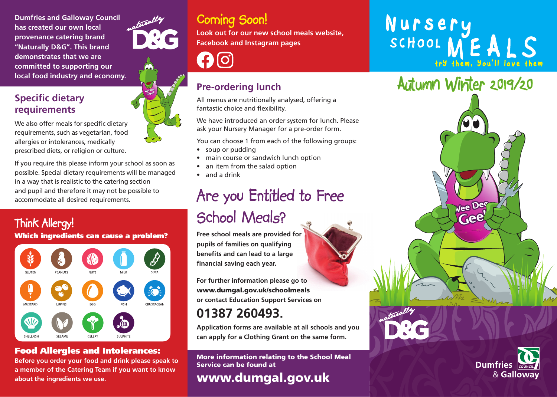**Dumfries and Galloway Council has created our own local provenance catering brand "Naturally D&G". This brand demonstrates that we are committed to supporting our local food industry and economy.**

### **Specific dietary requirements**

We also offer meals for specific dietary requirements, such as vegetarian, food allergies or intolerances, medically prescribed diets, or religion or culture.

If you require this please inform your school as soon as possible. Special dietary requirements will be managed in a way that is realistic to the catering section and pupil and therefore it may not be possible to accommodate all desired requirements.

# Think Allergy!

### Which ingredients can cause a problem?



### Food Allergies and Intolerances:

**Before you order your food and drink please speak to a member of the Catering Team if you want to know about the ingredients we use.**



## Coming Soon!

**Look out for our new school meals website, Facebook and Instagram pages**

 $\mathbf{f}$   $\mathbf{0}$ 

### **Pre-ordering lunch**

All menus are nutritionally analysed, offering a fantastic choice and flexibility.

We have introduced an order system for lunch. Please ask your Nursery Manager for a pre-order form.

You can choose 1 from each of the following groups:

- soup or pudding
- main course or sandwich lunch option
- an item from the salad option
- and a drink

# Are you Entitled to Free School Meals?

**Free school meals are provided for pupils of families on qualifying benefits and can lead to a large financial saving each year.**

**For further information please go to**  www.dumgal.gov.uk/schoolmeals **or contact Education Support Services on** 

## **01387 260493.**

**Application forms are available at all schools and you can apply for a Clothing Grant on the same form.**

More information relating to the School Meal Service can be found at



# Nursery<br>SCHOOL MEALS